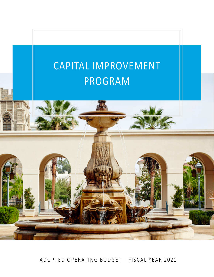

ADOPTED OPERATING BUDGET | FISCAL YEAR 2021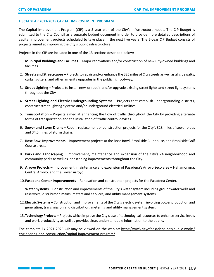### **FISCAL YEAR 2021-2025 CAPITAL IMPROVEMENT PROGRAM**

The Capital Improvement Program (CIP) is a 5-year plan of the City's infrastructure needs. The CIP Budget is submitted to the City Council as a separate budget document in order to provide more detailed descriptions of capital improvement projects scheduled to take place in the next five years. The 5-year CIP Budget consists of projects aimed at improving the City's public infrastructure.

Projects in the CIP are included in one of the 13 sections described below:

- 1. **Municipal Buildings and Facilities**  Major renovations and/or construction of new City-owned buildings and facilities.
- 2. **Streets and Streetscapes**  Projects to repair and/or enhance the 326 miles of City streets as well as all sidewalks, curbs, gutters, and other amenity upgrades in the public right-of-way.
- 3. **Street Lighting**  Projects to install new, or repair and/or upgrade existing street lights and street light systems throughout the City.
- 4. **Street Lighting and Electric Undergrounding Systems**  Projects that establish undergrounding districts, construct street lighting systems and/or underground electrical utilities.
- 5. **Transportation**  Projects aimed at enhancing the flow of traffic throughout the City by providing alternate forms of transportation and the installation of traffic control devices.
- 6. **Sewer and Storm Drains**  Repair, replacement or construction projects for the City's 328 miles of sewer pipes and 34.3 miles of storm drains.
- 7. **Rose Bowl Improvements**  Improvement projects at the Rose Bowl, Brookside Clubhouse, and Brookside Golf Course areas.
- 8. **Parks and Landscaping**  Improvement, maintenance and expansion of the City's 24 neighborhood and community parks as well as landscaping improvements throughout the City.
- 9. **Arroyo Projects**  Improvement, maintenance and expansion of Pasadena's Arroyo Seco area Hahamongna, Central Arroyo, and the Lower Arroyo.
- 10.**Pasadena Center Improvements**  Renovation and construction projects for the Pasadena Center.
- 11.**Water Systems**  Construction and improvements of the City's water system including groundwater wells and reservoirs, distribution mains, meters and services, and utility management systems.
- 12.**Electric Systems**  Construction and improvements of the City's electric system involving power production and generation, transmission and distribution, metering and utility management system.
- 13.**Technology Projects**  Projects which improve the City's use of technological resources to enhance service levels and work productivity as well as provide, clear, understandable information to the public.

The complete FY 2021-2025 CIP may be viewed on the web at: [https://ww5.cityofpasadena.net/public-works/](https://ww5.cityofpasadena.net/public-works/engineering-and-construction/capital-improvement-program/) [engineering-and-construction/capital-improvement-program/](https://ww5.cityofpasadena.net/public-works/engineering-and-construction/capital-improvement-program/)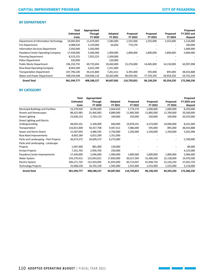<u> 1999 - Jan James Barbara, manala</u>

### **BY DEPARTMENT**

|                                        | Total            | Appropriated   |                |             |            |            | Proposed           |
|----------------------------------------|------------------|----------------|----------------|-------------|------------|------------|--------------------|
|                                        | <b>Estimated</b> | <b>Through</b> | <b>Adopted</b> | Proposed    | Proposed   | Proposed   | <b>FY 2025 and</b> |
|                                        | Costs            | FY 2020        | FY 2021        | FY 2022     | FY 2023    | FY 2024    | Beyond             |
| Department of Information Technology   | 19,045,003       | 11,679,003     | 1,585,000      | 1,555,000   | 1,555,000  | 1,555,000  | 1,116,000          |
| Fire Department                        | 4,088,920        | 3,150,000      | 64,650         | 774,270     |            |            | 100,000            |
| <b>Information Services Department</b> | 2,050,000        | 1,050,000      |                |             |            |            | 1,000,000          |
| Pasadena Center Operating Company      | 17,430,000       | 5,046,000      | 1,900,000      | 1,800,000   | 1,800,000  | 1,800,000  | 5,084,000          |
| <b>Planning Department</b>             | 8,523,225        | 7,023,225      | 1,500,000      |             |            |            |                    |
| <b>Police Department</b>               | 220,000          |                | 220,000        |             |            |            |                    |
| <b>Public Works Department</b>         | 196,193,792      | 69,725,694     | 20,460,000     | 15,276,000  | 14,485,000 | 14,150,000 | 62,097,098         |
| Rose Bowl Operating Company            | 8,003,289        | 6,652,289      | 1,351,000      |             |            |            |                    |
| <b>Transportation Department</b>       | 107,796,100      | 44,215,800     | 7,261,412      | 6,395,000   | 595,000    | 895,000    | 48,433,888         |
| Water and Power Department             | 598,244,448      | 259,646,116    | 50,265,000     | 90,920,582  | 77,703,250 | 64,954,250 | 54,755,250         |
| <b>Grand Total</b>                     | 961,594,777      | 408,188,127    | 84,607,062     | 116,720,852 | 96,138,250 | 83,354,250 | 172,586,236        |

### **BY CATEGORY**

|                                           | <b>Total</b>     | Appropriated   |            |                          |            |            | Proposed           |
|-------------------------------------------|------------------|----------------|------------|--------------------------|------------|------------|--------------------|
|                                           | <b>Estimated</b> | <b>Through</b> | Adopted    | Proposed                 | Proposed   | Proposed   | <b>FY 2025 and</b> |
|                                           | Costs            | FY 2020        | FY 2021    | FY 2022                  | FY 2023    | FY 2024    | <b>Beyond</b>      |
| <b>Municipal Buildings and Facilities</b> | 23,278,920       | 8,590,000      | 2,664,650  | 1,774,270                | 1,000,000  | 1,000,000  | 8,250,000          |
| <b>Streets and Streetscapes</b>           | 88,425,983       | 25,466,983     | 6,889,000  | 11,985,000               | 11,885,000 | 11,700,000 | 20,500,000         |
| <b>Street Lighting</b>                    | 23,638,133       | 2,703,133      | 100,000    | 250,000                  | 250,000    | 100,000    | 20,235,000         |
| Street Lighting and Electric              |                  |                |            |                          |            |            |                    |
| Undergrounding                            | 48,693,241       | 5,100,000      | 600,000    | 19,878,241               | 4,274,000  | 10,600,000 | 8,241,000          |
| Transportation                            | 116,815,008      | 50,357,708     | 9,447,412  | 7,086,000                | 595,000    | 895,000    | 48,433,888         |
| Sewer and Storm Drains                    | 15,587,693       | 4,486,595      | 3,750,000  | 1,350,000                | 1,350,000  | 1,350,000  | 3,301,098          |
| Rose Bowl Improvements                    | 8,003,289        | 6,652,289      | 1,351,000  | $\overline{\phantom{a}}$ |            |            |                    |
| Parks and Landscaping - Park Projects     | 36,674,372       | 24,699,372     | 6,275,000  |                          |            |            | 5,700,000          |
| Parks and Landscaping - Landscape         |                  |                |            |                          |            |            |                    |
| Projects                                  | 1,097,000        | 881,000        | 130,000    |                          |            |            | 86,000             |
| <b>Arroyo Projects</b>                    | 7,331,703        | 2,956,703      | 250,000    |                          |            |            | 4,125,000          |
| Pasadena Center Improvements              | 17,430,000       | 5,046,000      | 1,900,000  | 1,800,000                | 1,800,000  | 1,800,000  | 5,084,000          |
| Water System                              | 243,279,415      | 122,043,021    | 17,830,000 | 30,327,394               | 31,480,500 | 22,128,000 | 19,470,500         |
| Electric System                           | 306,271,792      | 132,503,095    | 31,835,000 | 40,714,947               | 41,948,750 | 32,226,250 | 27,043,750         |
| <b>Technology Projects</b>                | 25,068,228       | 16,702,228     | 1,585,000  | 1,555,000                | 1,555,000  | 1,555,000  | 2,116,000          |
| <b>Grand Total</b>                        | 961,594,777      | 408,188,127    | 84,607,062 | 116,720,852              | 96,138,250 | 83,354,250 | 172,586,236        |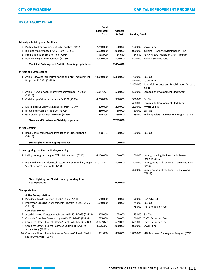# **BY CATEGORY DETAIL**

and the company of the company

|              |                                                                                                           | Total<br><b>Estimated</b><br>Costs | Adopted<br>FY 2021 | <b>Funding Detail</b> |                                                                    |
|--------------|-----------------------------------------------------------------------------------------------------------|------------------------------------|--------------------|-----------------------|--------------------------------------------------------------------|
|              | <b>Municipal Buildings and Facilities</b>                                                                 |                                    |                    |                       |                                                                    |
|              | 3 Parking Lot Improvements at City Facilities (71909)                                                     | 7,740,000                          | 100,000            |                       | 100,000 Sewer Fund                                                 |
| 4            | Building Maintenance FY 2021-2025 (71903)                                                                 | 5,000,000                          | 1,000,000          |                       | 1,000,000 Building Preventive Maintenance Fund                     |
| 5            | Fire Station 31 Seismic Retrofit (71914)                                                                  | 938,920                            | 64,650             |                       | 64,650 FEMA Hazard Mitigation Grant Program                        |
| 6            | Hale Building Interior Remodel (71160)                                                                    | 3,500,000                          | 1,500,000          |                       | 1,500,000 Building Services Fund                                   |
|              | <b>Municipal Buildings and Facilities Total Appropriations:</b>                                           |                                    | 2,664,650          |                       |                                                                    |
|              | <b>Streets and Streetscapes</b>                                                                           |                                    |                    |                       |                                                                    |
|              | 1 Annual Citywide Street Resurfacing and ADA Improvement                                                  | 44,950,000                         | 5,350,000          | 1,700,000 Gas Tax     |                                                                    |
|              | Program - FY 2021 (73932)                                                                                 |                                    |                    |                       | 850,000 Sewer Fund                                                 |
|              |                                                                                                           |                                    |                    |                       | 2,800,000 Road Maintenance and Rehabilitation Account<br>(SB1)     |
|              | 2 Annual ADA Sidewalk Improvement Program - FY 2020<br>(73913)                                            | 16,987,271                         | 500,000            |                       | 500,000 Community Development Block Grant                          |
| 4            | Curb Ramp ADA Improvements FY 2021 (73936)                                                                | 4,000,000                          | 900,000            | 500,000 Gas Tax       |                                                                    |
|              |                                                                                                           |                                    |                    |                       | 400,000 Community Development Block Grant                          |
| 5            | Miscellaneous Sidewalk Repair Program (73940)                                                             | 200,000                            | 200,000            |                       | 200,000 Private Capital                                            |
| 8            | Bridge Improvement Program (73929)                                                                        | 450,000                            | 50,000             |                       | 50,000 Gas Tax                                                     |
| 9            | Guardrail Improvement Program (73930)                                                                     | 569,304                            | 289,000            |                       | 289,000 Highway Safety Improvement Program Grant                   |
|              | <b>Streets and Streetscapes Total Appropriations:</b>                                                     |                                    | 7,289,000          |                       |                                                                    |
|              | <b>Street Lighting</b>                                                                                    |                                    |                    |                       |                                                                    |
|              | 1 Repair, Replacement, and Installation of Street Lighting<br>(74413)                                     | 838,133                            | 100,000            | 100,000 Gas Tax       |                                                                    |
|              | <b>Street Lighting Total Appropriations:</b>                                                              |                                    | 100,000            |                       |                                                                    |
|              | <b>Street Lighting and Electric Undergrounding</b>                                                        |                                    |                    |                       |                                                                    |
| $\mathbf{1}$ | Utility Undergrounding for Wildlife Prevention (3216)                                                     | 4,100,000                          | 100,000            |                       | 100,000 Undergrounding Utilities Fund - Power<br>Facilities (3215) |
| 4            | Raymond Avenue - Electrical System Undergrounding, Maple 31,023,241<br>Street to North City Limits (3214) |                                    | 500,000            |                       | 200,000 Underground Utilities Fund - Power Facilities<br>(3214)    |
|              |                                                                                                           |                                    |                    |                       | 300,000 Underground Utilities Fund - Public Works<br>(76823)       |
|              | <b>Street Lighting and Electric Undergrounding Total</b><br>Appropriations:                               |                                    | 600,000            |                       |                                                                    |
|              |                                                                                                           |                                    |                    |                       |                                                                    |
|              | Transportation                                                                                            |                                    |                    |                       |                                                                    |
|              | <b>Active Transportation</b>                                                                              |                                    |                    |                       |                                                                    |
|              | 1 Pasadena Bicycle Program FY 2021-2025 (75111)                                                           | 550,000                            | 90,000             |                       | 90,000 TDA Article 3                                               |
| 4            | Pedestrian Crossing Enhancements Program FY 2021-2025<br>(75112)                                          | 1,050,000                          | 150,000            |                       | 75,000 Gas Tax<br>75,000 Traffic Reduction Fee                     |
|              | <b>Complete Streets</b>                                                                                   |                                    |                    |                       |                                                                    |
| 5            | Arterials Speed Management Program FY 2021-2025 (75113)                                                   | 375,000                            | 75,000             |                       | 75,000 Gas Tax                                                     |
| 6            | Citywide Complete Streets Program FY 2021-2025 (75114)                                                    | 625,000                            | 50,000             |                       | 50,000 Traffic Reduction Fee                                       |
| 7            | Complete Streets Project - Union Street Cycle Track (75085)                                               | 8,077,877                          | 699,000            |                       | 699,000 Traffic Reduction Fee                                      |
| 8            | Complete Streets Project - Cordova St. from Hill Ave. to<br>Arroyo Pkwy (75052)                           | 4,076,342                          | 1,000,000          |                       | 1,000,000 Sewer Fund                                               |
|              | 10 Complete Streets Project - Avenue 64 from Colorado Blvd. to<br>South City Limits (75077)               | 1,871,000                          | 1,800,000          |                       | 1,800,000 MTA Multi-Year Subregional Program (MSP)                 |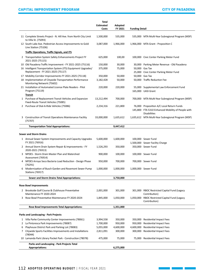# CAPITAL IMPROVEMENT PROGRAM CAPITAL IMPROVEMENT PROGRAM CITY OF PASADENA

|        |                                                                                                                    | Total<br><b>Estimated</b><br>Costs | Adopted<br>FY 2021   | <b>Funding Detail</b> |                                                                          |
|--------|--------------------------------------------------------------------------------------------------------------------|------------------------------------|----------------------|-----------------------|--------------------------------------------------------------------------|
|        | 11 Complete Streets Project - N. Hill Ave. from North City Limit<br>to Villa St. (75093)                           | 1,500,000                          | 535,000              |                       | 535,000 MTA Multi-Year Subregional Program (MSP)                         |
|        | 12 South Lake Ave. Pedestrian Access Improvements to Gold<br>Line Station (75106)                                  | 3,087,000                          | 1,966,000            |                       | 1,966,000 MTA Grant - Proposition C                                      |
|        | <b>Traffic Operations, Traffic Signals, and ITS</b>                                                                |                                    |                      |                       |                                                                          |
|        | 2 Transportation System Safety Enhancements Project FY<br>2021-2025 (75115)                                        | 625,000                            | 100,00               |                       | 100,000 Civic Center Parking Meter Fund                                  |
|        | 10 Old Pasadena Traffic Improvement - FY 2021-2025 (75116)                                                         | 150,000                            | 30,000               |                       | 30,000 Parking Meter Revenue - Old Pasadena                              |
|        | 16 Intelligent Transportation System (ITS) Equipment Upgrades/                                                     | 375,000                            | 75,000               |                       | 50,000 Gas Tax                                                           |
|        | Replacement - FY 2021-2025 (75117)                                                                                 |                                    |                      |                       | 25,000 Civic Center Parking Meter Fund                                   |
|        | 17 Mobility Corridor Improvements FY 2021-2025 (75118)<br>18 Implementation of Citywide Transportation Performance | 350,000<br>3,182,428               | 50,000<br>50,000     |                       | 50,000 Gas Tax<br>50,000 Traffic Reduction Fee                           |
|        | Monitoring Network (75602)                                                                                         |                                    |                      |                       |                                                                          |
|        | 21 Installation of Automated License Plate Readers - Pilot<br>Program (75119)                                      | 220,000                            | 220,000              |                       | 55,000 Supplemental Law Enforcement Fund<br>165,000 UASI Grant           |
|        | <b>Transit</b>                                                                                                     |                                    |                      |                       |                                                                          |
| 1      | Purchase of Replacement Transit Vehicles and Expansion<br>Fixed-Route Transit Vehicles (75085)                     | 13,212,494                         | 700,000              |                       | 700,000 MTA Multi-Year Subregional Program (MSP)                         |
|        | 2 Purchase of Dial-A-Ride Vehicles (75086)                                                                         | 2,234,316                          | 221,800              |                       | 76,000 Proposition A/C Local Return Funds                                |
|        |                                                                                                                    |                                    |                      |                       | 145,800 FTA 5310 Enhanced Mobility of People with<br><b>Disabilities</b> |
| 3      | <b>Construction of Transit Operations Maintenance Facility</b><br>(75707)                                          | 33,000,000                         | 1,635,612            |                       | 1,635,612 MTA Multi-Year Subregional Program (MSP)                       |
|        | <b>Transportation Total Appropriations:</b>                                                                        |                                    | 9,447,412            |                       |                                                                          |
|        |                                                                                                                    |                                    |                      |                       |                                                                          |
|        | <b>Sewer and Storm Drains</b>                                                                                      |                                    |                      |                       |                                                                          |
|        | 1 Annual Sewer System Improvements and Capacity Upgrades<br>FY 2021 (76916)                                        | 5,600,000                          | 1,600,000            |                       | 100,000 Sewer Fund<br>1,500,000 Sewer Facility Charge                    |
|        | 2 Annual Storm Drain System Repair & Improvements - FY<br>2020-2021 (76913)                                        | 1,526,293                          | 350,000              |                       | 350,000 Sewer Fund                                                       |
| 3      | NPDES - Storm Drain Master Plan and Watershed<br>Assessment (76914)                                                | 900,000                            | 100,000              |                       | 100,000 Sewer Fund                                                       |
| 4      | NPDES Arroyo Seco Bacteria Load Reduction - Design Phase<br>(76291)                                                | 950,000                            | 700,000              |                       | 700,000 Sewer Fund                                                       |
| 6      | Modernization of Busch Garden and Rosemont Sewer Pump<br><b>Stations (76917)</b>                                   | 1,000,000                          | 1,000,000            |                       | 1,000,000 Sewer Fund                                                     |
|        | <b>Sewer and Storm Drains Total Appropriations:</b>                                                                |                                    | 3,750,000            |                       |                                                                          |
|        |                                                                                                                    |                                    |                      |                       |                                                                          |
|        | <b>Rose Bowl Improvements</b>                                                                                      |                                    |                      |                       |                                                                          |
|        | 2 Brookside Golf Course & Clubhouse Preventative<br>Maintenance FY 2020-2024                                       | 2,001,000                          | 301,000              |                       | 301,000 RBOC Restricted Capital Fund (Legacy<br>Contribution)            |
| 3      | Rose Bowl Preventative Maintenance FY 2020-2024                                                                    | 1,845,000                          | 1,050,000            | 1,050,000             | RBOC Restricted Capital Fund (Legacy<br>Contribution)                    |
|        | <b>Rose Bowl Improvements Total Appropriations:</b>                                                                |                                    | 1,351,000            |                       |                                                                          |
|        |                                                                                                                    |                                    |                      |                       |                                                                          |
|        | Parks and Landscaping - Park Projects                                                                              |                                    |                      |                       |                                                                          |
|        | 1 Villa Parke Community Center Improvements (78061)                                                                | 3,994,558                          | 350,000              |                       | 350,000 Residential Impact Fees                                          |
| 2      | La Pintoresca Park Improvements (78087)                                                                            | 1,700,000                          | 950,000              | 950,000               | <b>Residential Impact Fees</b>                                           |
| 6<br>7 | Playhouse District Park and Parking Lot (78083)<br>Citywide Sports Facilities Improvements and Installations       | 5,055,000<br>2,811,091             | 4,600,000<br>300,000 | 4,600,000             | <b>Residential Impact Fees</b><br>300,000 Residential Impact Fees        |
|        | (78044)                                                                                                            |                                    |                      |                       |                                                                          |
|        | 10 Lamanda Park Library Pocket Park - Construction (78078)                                                         | 475,000                            | 75,000               |                       | 75,000 Residential Impact Fees                                           |
|        | Parks and Landscaping - Park Projects Total                                                                        |                                    |                      |                       |                                                                          |
|        | <b>Appropriations:</b>                                                                                             |                                    | 6,275,000            |                       |                                                                          |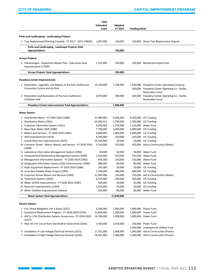and the company of the company

|                                                                                                 | Total<br><b>Estimated</b><br>Costs | Adopted<br>FY 2021 | <b>Funding Detail</b> |                                                                                                                           |
|-------------------------------------------------------------------------------------------------|------------------------------------|--------------------|-----------------------|---------------------------------------------------------------------------------------------------------------------------|
| Parks and Landscaping - Landscaping Projects                                                    |                                    |                    |                       |                                                                                                                           |
| 1 Tree Replacement/Planting Citywide - FY 2017 - 2021 (78958)                                   | 1,097,000                          | 130,000            |                       | 130,000 Street Tree Replacement Deposit                                                                                   |
| Parks and Landscaping - Landscape Projects Total<br><b>Appropriations</b>                       |                                    | 130,000            |                       |                                                                                                                           |
|                                                                                                 |                                    |                    |                       |                                                                                                                           |
| Arroyo Projects                                                                                 |                                    |                    |                       |                                                                                                                           |
| 3 Hahamongna - Implement Master Plan - Oak Grove Area<br>Improvements (77506)                   | 1,232,900                          | 250,000            |                       | 250,000 Residential Impact Fees                                                                                           |
| <b>Arroyo Projects Total Appropriations:</b>                                                    |                                    | 250,000            |                       |                                                                                                                           |
| Pasadena Center Improvements                                                                    |                                    |                    |                       |                                                                                                                           |
| 1 Restoration, Upgrades, and Repairs of the Civic Auditorium,<br>Convention Center and Ice Rink | 10,150,000                         | 1,700,000          |                       | 1,500,000 Pasadena Center Operating Company<br>200,000 Pasadena Center Operating Co - Facility<br><b>Restoration Fund</b> |
| 2 Restoration and Renovation of the Civic Auditorium<br><b>Exhibition Hall</b>                  | 6,070,000                          | 200,000            | 200,000               | Pasadena Center Operating Co - Facility<br><b>Restoration Fund</b>                                                        |
| Pasadena Center Improvements Total Appropriations:                                              |                                    | 1,900,000          |                       |                                                                                                                           |
|                                                                                                 |                                    |                    |                       |                                                                                                                           |
| <b>Water System</b>                                                                             |                                    |                    |                       |                                                                                                                           |
| 1 Distribution Mains - FY 2020-2024 (1080)                                                      | 27,880,000                         | 8,360,000          |                       | 8,360,000 CIC Funding                                                                                                     |
| 2 Distribution Mains (1001)                                                                     | 63,383,314                         | 1,700,000          |                       | 1,700,000 CIC Funding                                                                                                     |
| 3 Customer Information System (1011)                                                            | 9,050,000                          | 1,110,000          |                       | 1,110,000 Water Fund                                                                                                      |
| 4 New Clean Water Well (1088)                                                                   | 7,700,000                          | 3,000,000          |                       | 3,000,000 CIC Funding                                                                                                     |
| 5 Meters and Services - FY 2020-2024 (1081)                                                     | 6,800,000                          | 1,000,000          |                       | 1,000,000 CIC Funding                                                                                                     |
| 6 Well Improvements (1074)                                                                      | 8,369,000                          | 220,000            |                       | 220,000 CIC Funding                                                                                                       |
| 7 Sunset Reservoir Improvements (1075)                                                          | 34,169,000                         | 20,000             |                       | 20,000 CIC Funding                                                                                                        |
| 10 Customer Driven - Mains, Meters, and Service - FY 2020-2024<br>(1084)                        | 5,333,000                          | 470,000            |                       | 470,000 Aid to Construction (Water)                                                                                       |
| 11 Laboratory Information Management System (1094)                                              | 50,000                             | 50,000             |                       | 50,000 Water Fund                                                                                                         |
| 12 Computerized Maintenance Management System (1089)                                            | 1,010,000                          | 510,000            |                       | 510,000 Water Fund                                                                                                        |
| 13 Management Information Systems - FY 2020-2024 (1083)                                         | 604,500                            | 210,000            |                       | 210,000 Water Fund                                                                                                        |
| 14 Geographic Information System (GIS) Enhancements (1084)                                      | 480,000                            | 80,000             |                       | 80,000 Water Fund                                                                                                         |
| 17 Radio Equipment Replacement - FY 2020-2024 (1086)                                            | 145,000                            | 20,000             |                       | 20,000 CIC Funding                                                                                                        |
| 18 Local Non-Potable Water Project (1095)                                                       | 3,330,000                          | 580,000            |                       | 580,000 CIC Funding                                                                                                       |
| 19 Customer Driven Meters and Services (1003)                                                   | 21,099,986                         | 150,000            |                       | 150,000 Aid to Construction (Water)                                                                                       |
| 21 Treatment Systems (1091)                                                                     | 6,525,000                          | 200,000            |                       | 200,000 CIC Funding                                                                                                       |
| 24 Water SCADA Improvements - FY 2020-2024 (1087)                                               | 400,000                            | 20,000             |                       | 20,000 CIC Funding                                                                                                        |
| 25 Reservoir Improvements (1093)<br>27 Water Facilities Improvement Initiative                  | 1,025,000<br>230,000               | 50,000<br>80,000   |                       | 50,000 CIC Funding<br>80,000 Water Fund                                                                                   |
| <b>Water System Total Appropriations:</b>                                                       |                                    | 17,830,000         |                       |                                                                                                                           |
|                                                                                                 |                                    |                    |                       |                                                                                                                           |
| <b>Electric System</b>                                                                          |                                    |                    |                       |                                                                                                                           |
| 1 Fire Threat Mitigation Tier 3 Areas (3257)                                                    | 4,500,000                          | 1,000,000          | 1,000,000             | Power Fund                                                                                                                |
| 2 Conductor Replacement Program - FY 2020-2024 (3226)                                           | 12,600,000                         | 1,300,000          | 1,300,000             | Power Fund                                                                                                                |
| 4 4kV to 17kV Distribution System Conversions - FY 2020-2024<br>(3227)                          | 16,700,000                         | 1,900,000          |                       | 1,900,000 Power Fund                                                                                                      |
| 5 New 34.5 kV Circuit from Oak Knoll to Santa Anita (3264)                                      | 3,450,000                          | 3,450,000          |                       | 150,000 Power Fund                                                                                                        |
|                                                                                                 |                                    |                    |                       | 3,300,000 Underground Utilities Fund                                                                                      |
| 6 Installation of Low Voltage Electrical Services (3221)                                        | 17,331,000                         | 1,900,000          |                       | 1,900,000 Aid to Construction (Power)                                                                                     |
| 7 Installation of High Voltage Electrical Services (3220)                                       | 16,431,000                         | 1,480,000          |                       | 1,480,000 Aid to Construction (Power)                                                                                     |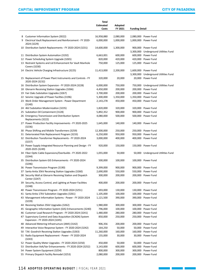# Capital Improvement Program CITY OF PASADENA

<u> 1989 - Jan Barnett, film e s</u>

|    |                                                                                               | Total            |           |                       |                                      |
|----|-----------------------------------------------------------------------------------------------|------------------|-----------|-----------------------|--------------------------------------|
|    |                                                                                               | <b>Estimated</b> | Adopted   |                       |                                      |
|    |                                                                                               | Costs            | FY 2021   | <b>Funding Detail</b> |                                      |
|    |                                                                                               |                  |           |                       |                                      |
|    | 8 Customer Information System (3022)                                                          | 16,958,880       | 2,080,000 |                       | 2,080,000 Power Fund                 |
|    | 9 Electrical Vault Replacement and Reinforcement - FY 2020-<br>2024 (3229)                    | 6,000,000        | 1,000,000 |                       | 1,000,000 Power Fund                 |
|    | 10 Distribution Switch Replacements - FY 2020-2024 (3231)                                     | 14,600,000       | 1,300,000 |                       | 900,000 Power Fund                   |
|    |                                                                                               |                  |           |                       | 3,300,000 Underground Utilities Fund |
|    | 11 Distribution System Automation (3192)                                                      | 6,663,001        | 600,000   |                       | 600,000 Power Fund                   |
|    | 12 Power Scheduling System Upgrade (3265)                                                     | 820,000          | 420,000   |                       | 420,000 Power Fund                   |
|    | 13 Restraint Systems and Lid Enhancement for Vault Manhole<br>Covers (3230)                   | 750,000          | 125,000   |                       | 125,000 Power Fund                   |
|    | 14 Electric Vehicle Charging Infrastructure (3225)                                            | 11,413,000       | 2,200,000 |                       | 1,600,000 Power Fund                 |
|    |                                                                                               |                  |           |                       | 3,300,000 Underground Utilities Fund |
|    | 15 Replacement of Power Plant Instruments and Controls - FY<br>2020-2024 (3232)               | 320,000          | 20,000    |                       | 20,000 Power Fund                    |
|    | 16 Distribution System Expansion - FY 2020-2024 (3228)                                        | 6,000,000        | 750,000   |                       | 750,000 Underground Utilities Fund   |
|    | 18 Glenarm Receiving Station Upgrades (3266)                                                  | 4,450,000        | 200,000   |                       | 200,000 Power Fund                   |
|    | 19 Fair Oaks Substation Upgrades (3267)                                                       | 3,700,000        | 200,000   |                       | 200,000 Power Fund                   |
|    | 22 Seismic Upgrade of Power Facilties (3196)                                                  | 5,300,000        | 1,350,000 |                       | 1,350,000 Power Fund                 |
|    | 23 Work Order Management System - Power Department                                            | 2,143,278        | 450,000   |                       | 450,000 Power Fund                   |
|    | (3140)                                                                                        |                  |           |                       |                                      |
|    | 24 4kV Substation Modernization (3235)                                                        | 1,820,000        | 320,000   |                       | 320,000 Power Fund                   |
|    | 25 Substation Oil Containment (3128)                                                          | 5,892,352        | 900,000   |                       | 900,000 Power Fund                   |
|    | 26 Emergency Transmission and Distribution System                                             | 4,080,000        | 500,000   |                       | 500,000 Power Fund                   |
|    | Replacements (3222)<br>27 Power Production Facility Improvements - FY 2020-2025               | 1,645,000        | 140,000   |                       | 140,000 Power Fund                   |
|    | (3236)                                                                                        |                  |           |                       |                                      |
|    | 30 Phase Shifting and Mobile Transformers (3259)                                              | 12,300,000       | 250,000   |                       | 250,000 Power Fund                   |
|    | 31 Deteriorated Pole Replacement Program (3233)                                               | 6,250,000        | 950,000   |                       | 950,000 Power Fund                   |
|    | 32 Distribution Transformer Replacements - FY 2020-2024<br>(3237)                             | 3,000,000        | 400,000   |                       | 400,000 Power Fund                   |
|    | 33 Power Supply Integrated Resource Planning and Design - FY<br>2020-2025 (3249)              | 920,000          | 150,000   |                       | 150,000 Power Fund                   |
|    | 34 Fiber Optic Cable Expansions/Overbuilds - FY 2020-2022<br>(3244)                           | 1,055,000        | 50,000    |                       | 50,000 Underground Utilities Fund    |
|    | 35 Distribution System GIS Enhancements - FY 2020-2024<br>(3246)                              | 500,000          | 100,000   |                       | 100,000 Power Fund                   |
|    | 36 Power Transmission Program (3190)                                                          | 9,399,000        | 900,000   |                       | 900,000 Power Fund                   |
|    | 37 Santa Anita 35kV Receiving Station Upgrades (3260)                                         | 2,690,000        | 550,000   |                       | 550,000 Power Fund                   |
|    | 38 Security Wall at Glenarm Receiving Station and Dispatch<br>Center (3247)                   | 300,000          | 200,000   |                       | 200,000 Power Fund                   |
|    | 39 Security, Access Control, and Lighting at Power Facilities<br>(3248)                       | 400,000          | 200,000   |                       | 200,000 Power Fund                   |
|    | 40 Power Transmission Program - FY 2020-2024 (3251)                                           | 693,000          | 130,000   |                       | 130,000 Power Fund                   |
|    | 41 Santa Anita 17kV Substation Upgrades (3261)                                                | 1,105,000        | 100,000   | 100,000               | Power Fund                           |
|    | 43 Management Information Systems - Power - FY 2020-2024<br>(3239)                            | 1,121,500        | 390,000   |                       | 390,000 Power Fund                   |
|    | 44 Receiving Station 35kV Upgrades (3262)                                                     | 1,980,000        | 300,000   |                       | 300,000 Power Fund                   |
| 45 | Geographic Information System (GIS) Enhancements (3240)                                       | 796,000          | 100,000   | 100,000               | Power Fund                           |
|    | 46 Customer Load Research Program - FY 2020-2024 (3241)                                       | 1,480,000        | 280,000   |                       | 280,000 Power Fund                   |
|    |                                                                                               |                  | 250,000   |                       | 250,000 Power Fund                   |
|    | 47 Supervisory Control and Data Acquisition (SCADA) System<br>Expansion - FY 2020-2024 (3245) | 850,000          |           |                       |                                      |
|    | 48 Advanced Metering Infrastructure (AMI) (3142)                                              | 906,356          | 200,000   |                       | 200,000 Power Fund                   |
|    | 49 Interactive Voice Response System - FY 2020-2024 (3242)                                    | 164,250          | 50,000    | 50,000                | Power Fund                           |
|    | 50 T.M. Goodrich Receiving Station Upgrades (3263)                                            | 11,260,000       | 160,000   |                       | 160,000 Power Fund                   |
|    | 51 Radio Equipment Replacement - Power - FY 2020-2024<br>(3243)                               | 155,000          | 30,000    |                       | 30,000 Power Fund                    |
|    | 52 Power Quality Meter Upgrades - FY 2020-2024 (3250)                                         | 450,000          | 50,000    |                       | 50,000 Power Fund                    |
| 53 | Distribution Volt/Var Enhancements - FY 2020-2024 (3252)                                      | 3,143,000        | 600,000   | 600,000               | Power Fund                           |
|    | 54 Power System Equipment (3254)                                                              | 800,000          | 300,000   | 300,000               | Power Fund                           |
|    | 55 Primary Dispatch Facility Remodel (3253)                                                   | 2,080,000        | 200,000   |                       | 200,000 Power Fund                   |